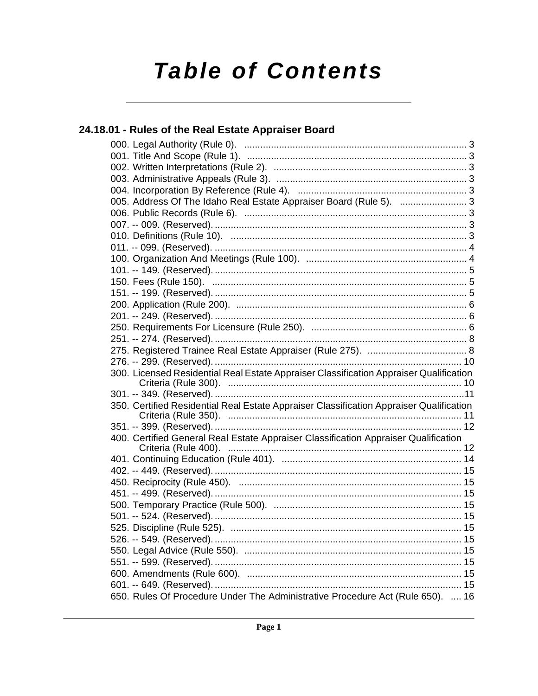# **Table of Contents**

### 24.18.01 - Rules of the Real Estate Appraiser Board 005. Address Of The Idaho Real Estate Appraiser Board (Rule 5). .................................3 300. Licensed Residential Real Estate Appraiser Classification Appraiser Qualification 350. Certified Residential Real Estate Appraiser Classification Appraiser Qualification 400. Certified General Real Estate Appraiser Classification Appraiser Qualification

650. Rules Of Procedure Under The Administrative Procedure Act (Rule 650). .... 16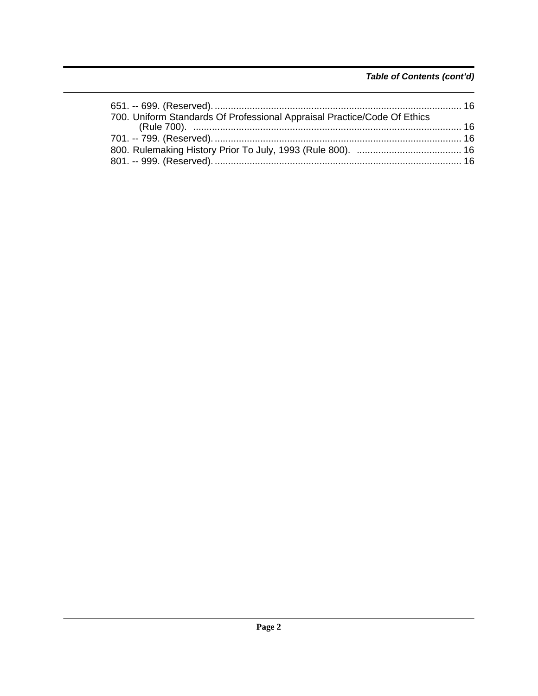### Table of Contents (cont'd)

| 700. Uniform Standards Of Professional Appraisal Practice/Code Of Ethics |  |
|--------------------------------------------------------------------------|--|
|                                                                          |  |
|                                                                          |  |
|                                                                          |  |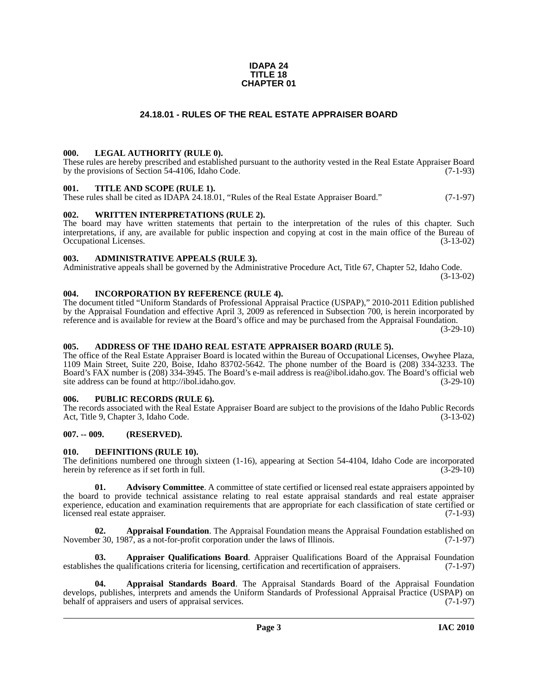#### **IDAPA 24 TITLE 18 CHAPTER 01**

### **24.18.01 - RULES OF THE REAL ESTATE APPRAISER BOARD**

#### <span id="page-2-1"></span><span id="page-2-0"></span>**000. LEGAL AUTHORITY (RULE 0).**

These rules are hereby prescribed and established pursuant to the authority vested in the Real Estate Appraiser Board by the provisions of Section 54-4106, Idaho Code. (7-1-93)

#### <span id="page-2-2"></span>**001. TITLE AND SCOPE (RULE 1).**

These rules shall be cited as IDAPA 24.18.01, "Rules of the Real Estate Appraiser Board." (7-1-97)

#### <span id="page-2-3"></span>**002. WRITTEN INTERPRETATIONS (RULE 2).**

The board may have written statements that pertain to the interpretation of the rules of this chapter. Such interpretations, if any, are available for public inspection and copying at cost in the main office of the Bureau of Occupational Licenses. (3-13-02) Occupational Licenses.

#### <span id="page-2-4"></span>**003. ADMINISTRATIVE APPEALS (RULE 3).**

Administrative appeals shall be governed by the Administrative Procedure Act, Title 67, Chapter 52, Idaho Code. (3-13-02)

<span id="page-2-5"></span>**004. INCORPORATION BY REFERENCE (RULE 4).**

The document titled "Uniform Standards of Professional Appraisal Practice (USPAP)," 2010-2011 Edition published by the Appraisal Foundation and effective April 3, 2009 as referenced in Subsection 700, is herein incorporated by reference and is available for review at the Board's office and may be purchased from the Appraisal Foundation.

(3-29-10)

#### <span id="page-2-6"></span>**005. ADDRESS OF THE IDAHO REAL ESTATE APPRAISER BOARD (RULE 5).**

[The office of the Real Estate Appraiser Board is located within the Bureau of Occupational Licenses, Owyhee Plaza,](mailto:rea@ibol.idaho.gov)  1109 Main Street, Suite 220, Boise, Idaho 83702-5642. The phone number of the Board is (208) 334-3233. The Board's FAX number is (208) 334-3945. The Board's e-mail address is rea@ibol.idaho.gov. The Board's official web [site address can be found at](mailto:rea@ibol.idaho.gov) [http://ibol.idaho.gov. \(3-29-10\)](http://ibol.idaho.gov)

#### <span id="page-2-7"></span>**006. PUBLIC RECORDS (RULE 6).**

The records associated with the Real Estate Appraiser Board are subject to the provisions of the Idaho Public Records Act, Title 9, Chapter 3, Idaho Code. (3-13-02)

#### <span id="page-2-8"></span>**007. -- 009. (RESERVED).**

#### <span id="page-2-14"></span><span id="page-2-9"></span>**010. DEFINITIONS (RULE 10).**

The definitions numbered one through sixteen (1-16), appearing at Section 54-4104, Idaho Code are incorporated herein by reference as if set forth in full. (3-29-10) herein by reference as if set forth in full.

<span id="page-2-10"></span>**01.** Advisory Committee. A committee of state certified or licensed real estate appraisers appointed by the board to provide technical assistance relating to real estate appraisal standards and real estate appraiser experience, education and examination requirements that are appropriate for each classification of state certified or licensed real estate appraiser. (7-1-93)

<span id="page-2-11"></span>**02. Appraisal Foundation**. The Appraisal Foundation means the Appraisal Foundation established on November 30, 1987, as a not-for-profit corporation under the laws of Illinois. (7-1-97)

<span id="page-2-13"></span>**03. Appraiser Qualifications Board**. Appraiser Qualifications Board of the Appraisal Foundation establishes the qualifications criteria for licensing, certification and recertification of appraisers. (7-1-97)

<span id="page-2-12"></span>**04. Appraisal Standards Board**. The Appraisal Standards Board of the Appraisal Foundation develops, publishes, interprets and amends the Uniform Standards of Professional Appraisal Practice (USPAP) on behalf of appraisers and users of appraisal services. (7-1-97) behalf of appraisers and users of appraisal services.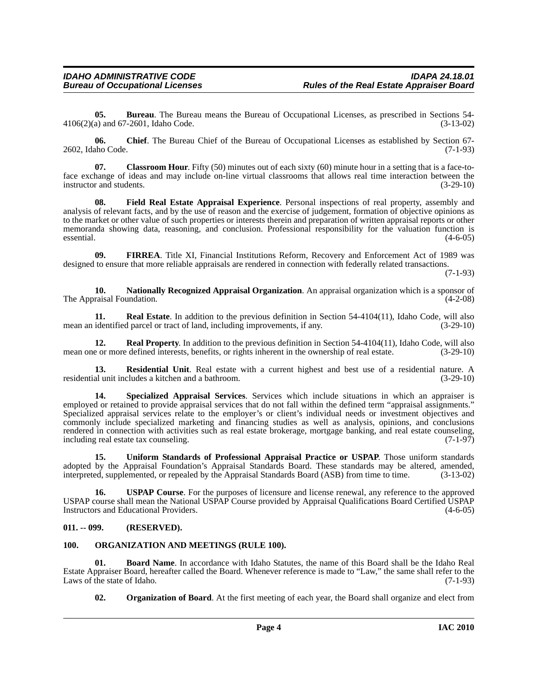<span id="page-3-3"></span>**05. Bureau**. The Bureau means the Bureau of Occupational Licenses, as prescribed in Sections 54-4106(2)(a) and 67-2601, Idaho Code. (3-13-02)

<span id="page-3-4"></span>**06. Chief**. The Bureau Chief of the Bureau of Occupational Licenses as established by Section 67- 2602, Idaho Code. (7-1-93)

<span id="page-3-5"></span>**07.** Classroom Hour. Fifty (50) minutes out of each sixty (60) minute hour in a setting that is a face-toface exchange of ideas and may include on-line virtual classrooms that allows real time interaction between the instructor and students. (3-29-10)

<span id="page-3-6"></span>**08. Field Real Estate Appraisal Experience**. Personal inspections of real property, assembly and analysis of relevant facts, and by the use of reason and the exercise of judgement, formation of objective opinions as to the market or other value of such properties or interests therein and preparation of written appraisal reports or other memoranda showing data, reasoning, and conclusion. Professional responsibility for the valuation function is essential. (4-6-05)  $\epsilon$  essential. (4-6-05)

<span id="page-3-7"></span>**09. FIRREA**. Title XI, Financial Institutions Reform, Recovery and Enforcement Act of 1989 was designed to ensure that more reliable appraisals are rendered in connection with federally related transactions.

(7-1-93)

<span id="page-3-8"></span>**10. Nationally Recognized Appraisal Organization**. An appraisal organization which is a sponsor of The Appraisal Foundation.

<span id="page-3-11"></span>**11. Real Estate**. In addition to the previous definition in Section 54-4104(11), Idaho Code, will also identified parcel or tract of land, including improvements, if any. (3-29-10) mean an identified parcel or tract of land, including improvements, if any.

<span id="page-3-12"></span>**12. Real Property**. In addition to the previous definition in Section 54-4104(11), Idaho Code, will also e or more defined interests, benefits, or rights inherent in the ownership of real estate. (3-29-10) mean one or more defined interests, benefits, or rights inherent in the ownership of real estate.

<span id="page-3-13"></span>**13. Residential Unit**. Real estate with a current highest and best use of a residential nature. A residential unit includes a kitchen and a bathroom. (3-29-10)

<span id="page-3-14"></span>**14. Specialized Appraisal Services**. Services which include situations in which an appraiser is employed or retained to provide appraisal services that do not fall within the defined term "appraisal assignments." Specialized appraisal services relate to the employer's or client's individual needs or investment objectives and commonly include specialized marketing and financing studies as well as analysis, opinions, and conclusions rendered in connection with activities such as real estate brokerage, mortgage banking, and real estate counseling, including real estate tax counseling. (7-1-97)

<span id="page-3-15"></span>**15. Uniform Standards of Professional Appraisal Practice or USPAP**. Those uniform standards adopted by the Appraisal Foundation's Appraisal Standards Board. These standards may be altered, amended, interpreted, supplemented, or repealed by the Appraisal Standards Board (ASB) from time to time. (3-13-02)

<span id="page-3-16"></span>**16. USPAP Course**. For the purposes of licensure and license renewal, any reference to the approved USPAP course shall mean the National USPAP Course provided by Appraisal Qualifications Board Certified USPAP Instructors and Educational Providers. (4-6-05)

#### <span id="page-3-0"></span>**011. -- 099. (RESERVED).**

#### <span id="page-3-9"></span><span id="page-3-1"></span>**100. ORGANIZATION AND MEETINGS (RULE 100).**

**01. Board Name**. In accordance with Idaho Statutes, the name of this Board shall be the Idaho Real Estate Appraiser Board, hereafter called the Board. Whenever reference is made to "Law," the same shall refer to the Laws of the state of Idaho.

<span id="page-3-10"></span><span id="page-3-2"></span>**02. Organization of Board**. At the first meeting of each year, the Board shall organize and elect from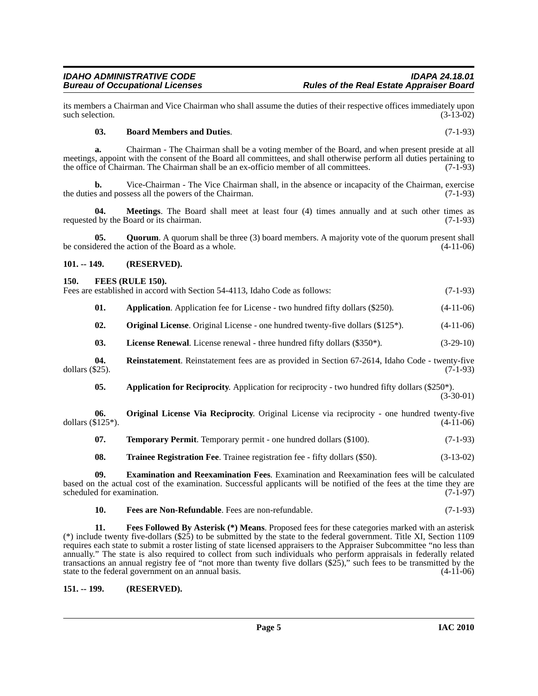its members a Chairman and Vice Chairman who shall assume the duties of their respective offices immediately upon such selection.

#### <span id="page-4-4"></span>**03. Board Members and Duties**. (7-1-93)

**a.** Chairman - The Chairman shall be a voting member of the Board, and when present preside at all meetings, appoint with the consent of the Board all committees, and shall otherwise perform all duties pertaining to the office of Chairman. The Chairman shall be an ex-officio member of all committees. (7-1-93)

**b.** Vice-Chairman - The Vice Chairman shall, in the absence or incapacity of the Chairman, exercise the duties and possess all the powers of the Chairman. (7-1-93)

**04. Meetings**. The Board shall meet at least four (4) times annually and at such other times as requested by the Board or its chairman. (7-1-93)

**05.** Quorum. A quorum shall be three (3) board members. A majority vote of the quorum present shall dered the action of the Board as a whole. (4-11-06) be considered the action of the Board as a whole.

#### <span id="page-4-0"></span>**101. -- 149. (RESERVED).**

#### <span id="page-4-6"></span><span id="page-4-1"></span>**150. FEES (RULE 150).**

Fees are established in accord with Section 54-4113, Idaho Code as follows: (7-1-93)

| 01. |  | <b>Application.</b> Application fee for License - two hundred fifty dollars (\$250). |  |  |  | $(4-11-06)$ |
|-----|--|--------------------------------------------------------------------------------------|--|--|--|-------------|
|-----|--|--------------------------------------------------------------------------------------|--|--|--|-------------|

<span id="page-4-10"></span><span id="page-4-9"></span>**02. Original License**. Original License - one hundred twenty-five dollars (\$125<sup>\*</sup>). (4-11-06)

<span id="page-4-12"></span>**03.** License Renewal. License renewal - three hundred fifty dollars (\$350\*). (3-29-10)

**04.** Reinstatement. Reinstatement fees are as provided in Section 67-2614, Idaho Code - twenty-five dollars (\$25). (7-1-93) dollars (\$25). (7-1-93)

<span id="page-4-11"></span><span id="page-4-3"></span>**05.** Application for Reciprocity. Application for reciprocity - two hundred fifty dollars (\$250\*).  $(3-30-01)$ 

**06. Original License Via Reciprocity**. Original License via reciprocity - one hundred twenty-five dollars  $(\$125^*)$ . (4-11-06)

<span id="page-4-13"></span>**07. Temporary Permit**. Temporary permit - one hundred dollars (\$100). (7-1-93)

<span id="page-4-14"></span><span id="page-4-5"></span>**08. Trainee Registration Fee**. Trainee registration fee - fifty dollars (\$50). (3-13-02)

**09. Examination and Reexamination Fees**. Examination and Reexamination fees will be calculated based on the actual cost of the examination. Successful applicants will be notified of the fees at the time they are scheduled for examination. (7-1-97)

<span id="page-4-8"></span><span id="page-4-7"></span>**10. Fees are Non-Refundable**. Fees are non-refundable. (7-1-93)

**11. Fees Followed By Asterisk (\*) Means**. Proposed fees for these categories marked with an asterisk (\*) include twenty five-dollars  $(\frac{25}{2})$  to be submitted by the state to the federal government. Title XI, Section 1109 requires each state to submit a roster listing of state licensed appraisers to the Appraiser Subcommittee "no less than annually." The state is also required to collect from such individuals who perform appraisals in federally related transactions an annual registry fee of "not more than twenty five dollars (\$25)," such fees to be transmitted by the state to the federal government on an annual basis. (4-11-06)

<span id="page-4-2"></span>**151. -- 199. (RESERVED).**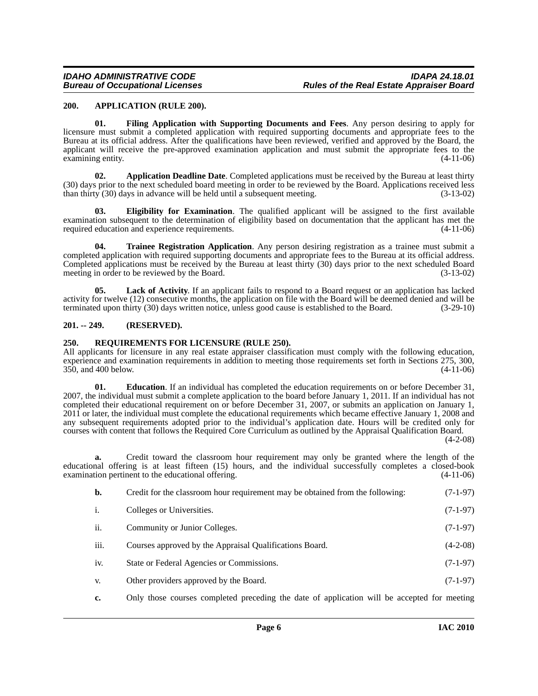#### <span id="page-5-3"></span><span id="page-5-0"></span>**200. APPLICATION (RULE 200).**

<span id="page-5-7"></span>**01. Filing Application with Supporting Documents and Fees**. Any person desiring to apply for licensure must submit a completed application with required supporting documents and appropriate fees to the Bureau at its official address. After the qualifications have been reviewed, verified and approved by the Board, the applicant will receive the pre-approved examination application and must submit the appropriate fees to the examining entity. (4-11-06) examining entity.

<span id="page-5-4"></span>**02. Application Deadline Date**. Completed applications must be received by the Bureau at least thirty (30) days prior to the next scheduled board meeting in order to be reviewed by the Board. Applications received less than thirty (30) days in advance will be held until a subsequent meeting. (3-13-02)

<span id="page-5-6"></span>**03. Eligibility for Examination**. The qualified applicant will be assigned to the first available examination subsequent to the determination of eligibility based on documentation that the applicant has met the required education and experience requirements. (4-11-06)

<span id="page-5-10"></span>**04. Trainee Registration Application**. Any person desiring registration as a trainee must submit a completed application with required supporting documents and appropriate fees to the Bureau at its official address. Completed applications must be received by the Bureau at least thirty (30) days prior to the next scheduled Board meeting in order to be reviewed by the Board. (3-13-02)

<span id="page-5-8"></span>**05. Lack of Activity**. If an applicant fails to respond to a Board request or an application has lacked activity for twelve (12) consecutive months, the application on file with the Board will be deemed denied and will be terminated upon thirty (30) days written notice, unless good cause is established to the Board. (3-29-10)

#### <span id="page-5-1"></span>**201. -- 249. (RESERVED).**

#### <span id="page-5-9"></span><span id="page-5-2"></span>**250. REQUIREMENTS FOR LICENSURE (RULE 250).**

All applicants for licensure in any real estate appraiser classification must comply with the following education, experience and examination requirements in addition to meeting those requirements set forth in Sections 275, 300,  $350$ , and  $400$  below.

<span id="page-5-5"></span>**01. Education**. If an individual has completed the education requirements on or before December 31, 2007, the individual must submit a complete application to the board before January 1, 2011. If an individual has not completed their educational requirement on or before December 31, 2007, or submits an application on January 1, 2011 or later, the individual must complete the educational requirements which became effective January 1, 2008 and any subsequent requirements adopted prior to the individual's application date. Hours will be credited only for courses with content that follows the Required Core Curriculum as outlined by the Appraisal Qualification Board.

 $(4-2-08)$ 

**a.** Credit toward the classroom hour requirement may only be granted where the length of the educational offering is at least fifteen (15) hours, and the individual successfully completes a closed-book examination pertinent to the educational offering. (4-11-06)

| $\mathbf{b}$ . | Credit for the classroom hour requirement may be obtained from the following: | $(7-1-97)$ |
|----------------|-------------------------------------------------------------------------------|------------|
| i.             | Colleges or Universities.                                                     | $(7-1-97)$ |
| ii.            | Community or Junior Colleges.                                                 | $(7-1-97)$ |
| iii.           | Courses approved by the Appraisal Qualifications Board.                       | $(4-2-08)$ |
| iv.            | State or Federal Agencies or Commissions.                                     | $(7-1-97)$ |
| V.             | Other providers approved by the Board.                                        | $(7-1-97)$ |
|                |                                                                               |            |

**c.** Only those courses completed preceding the date of application will be accepted for meeting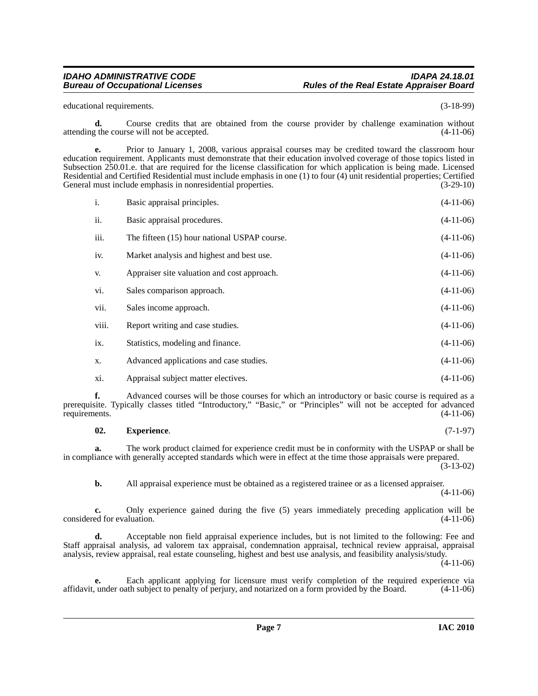educational requirements. (3-18-99)

**d.** Course credits that are obtained from the course provider by challenge examination without the course will not be accepted. (4-11-06) attending the course will not be accepted.

**e.** Prior to January 1, 2008, various appraisal courses may be credited toward the classroom hour education requirement. Applicants must demonstrate that their education involved coverage of those topics listed in Subsection 250.01.e. that are required for the license classification for which application is being made. Licensed Residential and Certified Residential must include emphasis in one (1) to four (4) unit residential properties; Certified General must include emphasis in nonresidential properties.

| i.    | Basic appraisal principles.                  | $(4-11-06)$ |
|-------|----------------------------------------------|-------------|
| ii.   | Basic appraisal procedures.                  | $(4-11-06)$ |
| iii.  | The fifteen (15) hour national USPAP course. | $(4-11-06)$ |
| iv.   | Market analysis and highest and best use.    | $(4-11-06)$ |
| V.    | Appraiser site valuation and cost approach.  | $(4-11-06)$ |
| vi.   | Sales comparison approach.                   | $(4-11-06)$ |
| vii.  | Sales income approach.                       | $(4-11-06)$ |
| viii. | Report writing and case studies.             | $(4-11-06)$ |
| ix.   | Statistics, modeling and finance.            | $(4-11-06)$ |
| X.    | Advanced applications and case studies.      | $(4-11-06)$ |
| X1.   | Appraisal subject matter electives.          | $(4-11-06)$ |

**f.** Advanced courses will be those courses for which an introductory or basic course is required as a prerequisite. Typically classes titled "Introductory," "Basic," or "Principles" will not be accepted for advanced requirements. (4-11-06)

#### <span id="page-6-0"></span>**02. Experience**. (7-1-97)

**a.** The work product claimed for experience credit must be in conformity with the USPAP or shall be in compliance with generally accepted standards which were in effect at the time those appraisals were prepared.

(3-13-02)

**b.** All appraisal experience must be obtained as a registered trainee or as a licensed appraiser.

(4-11-06)

**c.** Only experience gained during the five (5) years immediately preceding application will be considered for evaluation. (4-11-06)

**d.** Acceptable non field appraisal experience includes, but is not limited to the following: Fee and Staff appraisal analysis, ad valorem tax appraisal, condemnation appraisal, technical review appraisal, appraisal analysis, review appraisal, real estate counseling, highest and best use analysis, and feasibility analysis/study.  $(4-11-06)$ 

**e.** Each applicant applying for licensure must verify completion of the required experience via<br>under oath subject to penalty of perjury, and notarized on a form provided by the Board. (4-11-06) affidavit, under oath subject to penalty of perjury, and notarized on a form provided by the Board.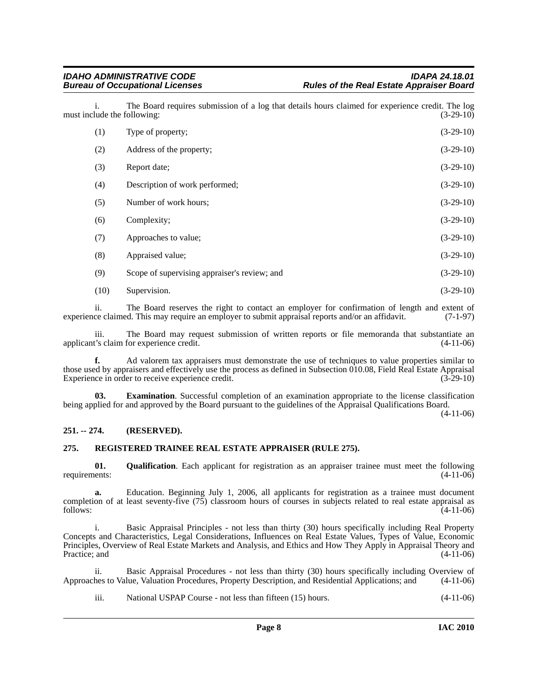i. The Board requires submission of a log that details hours claimed for experience credit. The log must include the following:

| (1)  | Type of property;                            | $(3-29-10)$ |
|------|----------------------------------------------|-------------|
| (2)  | Address of the property;                     | $(3-29-10)$ |
| (3)  | Report date;                                 | $(3-29-10)$ |
| (4)  | Description of work performed;               | $(3-29-10)$ |
| (5)  | Number of work hours;                        | $(3-29-10)$ |
| (6)  | Complexity;                                  | $(3-29-10)$ |
| (7)  | Approaches to value;                         | $(3-29-10)$ |
| (8)  | Appraised value;                             | $(3-29-10)$ |
| (9)  | Scope of supervising appraiser's review; and | $(3-29-10)$ |
| (10) | Supervision.                                 | $(3-29-10)$ |

ii. The Board reserves the right to contact an employer for confirmation of length and extent of ce claimed. This may require an employer to submit appraisal reports and/or an affidavit. (7-1-97) experience claimed. This may require an employer to submit appraisal reports and/or an affidavit.

iii. The Board may request submission of written reports or file memoranda that substantiate an t's claim for experience credit. (4-11-06) applicant's claim for experience credit.

**f.** Ad valorem tax appraisers must demonstrate the use of techniques to value properties similar to those used by appraisers and effectively use the process as defined in Subsection 010.08, Field Real Estate Appraisal Experience in order to receive experience credit. Experience in order to receive experience credit.

<span id="page-7-2"></span>**03.** Examination. Successful completion of an examination appropriate to the license classification being applied for and approved by the Board pursuant to the guidelines of the Appraisal Qualifications Board.

(4-11-06)

#### <span id="page-7-0"></span>**251. -- 274. (RESERVED).**

#### <span id="page-7-4"></span><span id="page-7-1"></span>**275. REGISTERED TRAINEE REAL ESTATE APPRAISER (RULE 275).**

<span id="page-7-3"></span>**01. Qualification**. Each applicant for registration as an appraiser trainee must meet the following requirements: (4-11-06)

**a.** Education. Beginning July 1, 2006, all applicants for registration as a trainee must document completion of at least seventy-five (75) classroom hours of courses in subjects related to real estate appraisal as  $f_{\text{0}}(4-11-06)$ 

i. Basic Appraisal Principles - not less than thirty (30) hours specifically including Real Property Concepts and Characteristics, Legal Considerations, Influences on Real Estate Values, Types of Value, Economic Principles, Overview of Real Estate Markets and Analysis, and Ethics and How They Apply in Appraisal Theory and Practice; and  $(4-11-06)$ 

ii. Basic Appraisal Procedures - not less than thirty (30) hours specifically including Overview of hes to Value, Valuation Procedures, Property Description, and Residential Applications; and (4-11-06) Approaches to Value, Valuation Procedures, Property Description, and Residential Applications; and

iii. National USPAP Course - not less than fifteen (15) hours. (4-11-06)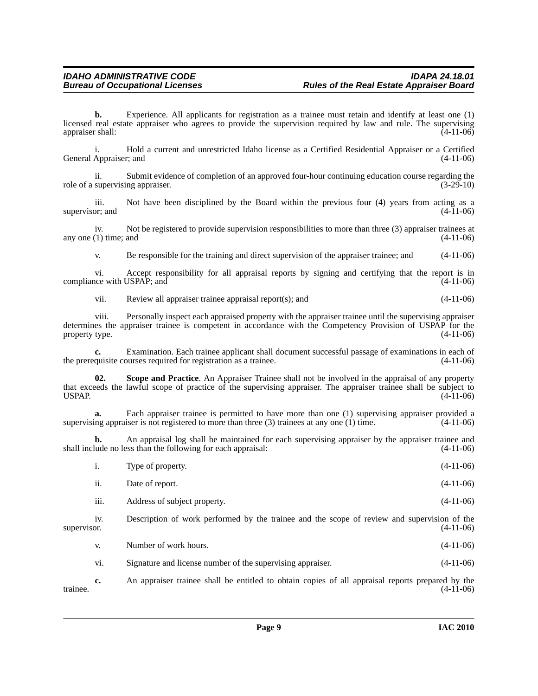**b.** Experience. All applicants for registration as a trainee must retain and identify at least one (1) licensed real estate appraiser who agrees to provide the supervision required by law and rule. The supervising appraiser shall: (4-11-06) appraiser shall:

i. Hold a current and unrestricted Idaho license as a Certified Residential Appraiser or a Certified General Appraiser; and

ii. Submit evidence of completion of an approved four-hour continuing education course regarding the role of a supervising appraiser. (3-29-10)

iii. Not have been disciplined by the Board within the previous four  $(4)$  years from acting as a or; and  $(4-11-06)$ supervisor; and

iv. Not be registered to provide supervision responsibilities to more than three (3) appraiser trainees at (1) time; and (4-11-06) any one  $(1)$  time; and

v. Be responsible for the training and direct supervision of the appraiser trainee; and (4-11-06)

vi. Accept responsibility for all appraisal reports by signing and certifying that the report is in compliance with USPAP; and (4-11-06)

vii. Review all appraiser trainee appraisal report(s); and (4-11-06)

viii. Personally inspect each appraised property with the appraiser trainee until the supervising appraiser determines the appraiser trainee is competent in accordance with the Competency Provision of USPAP for the property type. (4-11-06)

**c.** Examination. Each trainee applicant shall document successful passage of examinations in each of the prerequisite courses required for registration as a trainee. (4-11-06)

<span id="page-8-0"></span>**02. Scope and Practice**. An Appraiser Trainee shall not be involved in the appraisal of any property that exceeds the lawful scope of practice of the supervising appraiser. The appraiser trainee shall be subject to USPAP. (4-11-06)

**a.** Each appraiser trainee is permitted to have more than one (1) supervising appraiser provided a supervising appraiser is not registered to more than three  $(3)$  trainees at any one  $(1)$  time.  $(4-11-06)$ 

**b.** An appraisal log shall be maintained for each supervising appraiser by the appraiser trainee and lude no less than the following for each appraisal: (4-11-06) shall include no less than the following for each appraisal:

|             | 1.              | Type of property.                                                                           | $(4-11-06)$ |
|-------------|-----------------|---------------------------------------------------------------------------------------------|-------------|
|             | 11.             | Date of report.                                                                             | $(4-11-06)$ |
|             | iii.            | Address of subject property.                                                                | $(4-11-06)$ |
| supervisor. | 1V <sub>1</sub> | Description of work performed by the trainee and the scope of review and supervision of the | $(4-11-06)$ |
|             | V.              | Number of work hours.                                                                       | $(4-11-06)$ |

vi. Signature and license number of the supervising appraiser. (4-11-06)

**c.** An appraiser trainee shall be entitled to obtain copies of all appraisal reports prepared by the trainee.  $(4-11-06)$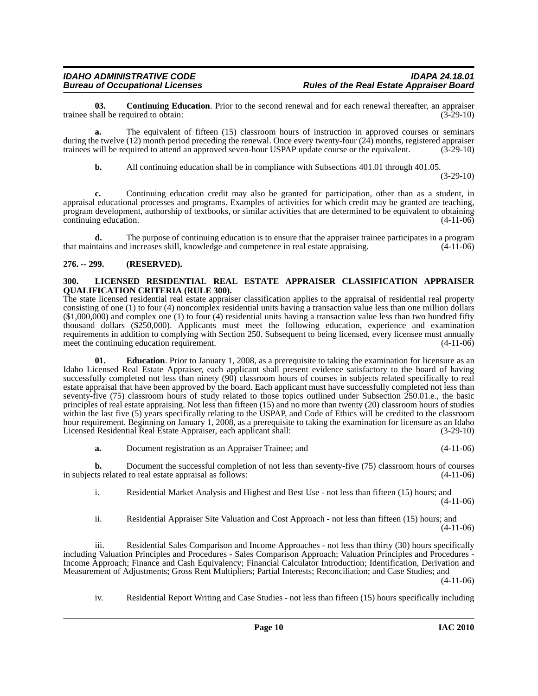<span id="page-9-2"></span>**03. Continuing Education**. Prior to the second renewal and for each renewal thereafter, an appraiser rall be required to obtain: (3-29-10) trainee shall be required to obtain:

**a.** The equivalent of fifteen (15) classroom hours of instruction in approved courses or seminars during the twelve (12) month period preceding the renewal. Once every twenty-four (24) months, registered appraiser trainees will be required to attend an approved seven-hour USPAP update course or the equivalent. (3-29-10)

**b.** All continuing education shall be in compliance with Subsections 401.01 through 401.05.

(3-29-10)

**c.** Continuing education credit may also be granted for participation, other than as a student, in appraisal educational processes and programs. Examples of activities for which credit may be granted are teaching, program development, authorship of textbooks, or similar activities that are determined to be equivalent to obtaining continuing education. (4-11-06)

**d.** The purpose of continuing education is to ensure that the appraiser trainee participates in a program trains and increases skill, knowledge and competence in real estate appraising. (4-11-06) that maintains and increases skill, knowledge and competence in real estate appraising.

#### <span id="page-9-0"></span>**276. -- 299. (RESERVED).**

#### <span id="page-9-4"></span><span id="page-9-1"></span>**300. LICENSED RESIDENTIAL REAL ESTATE APPRAISER CLASSIFICATION APPRAISER QUALIFICATION CRITERIA (RULE 300).**

The state licensed residential real estate appraiser classification applies to the appraisal of residential real property consisting of one (1) to four (4) noncomplex residential units having a transaction value less than one million dollars (\$1,000,000) and complex one (1) to four (4) residential units having a transaction value less than two hundred fifty thousand dollars (\$250,000). Applicants must meet the following education, experience and examination requirements in addition to complying with Section 250. Subsequent to being licensed, every licensee must annually meet the continuing education requirement. (4-11-06)

<span id="page-9-3"></span>**01.** Education. Prior to January 1, 2008, as a prerequisite to taking the examination for licensure as an Idaho Licensed Real Estate Appraiser, each applicant shall present evidence satisfactory to the board of having successfully completed not less than ninety (90) classroom hours of courses in subjects related specifically to real estate appraisal that have been approved by the board. Each applicant must have successfully completed not less than seventy-five (75) classroom hours of study related to those topics outlined under Subsection 250.01.e., the basic principles of real estate appraising. Not less than fifteen (15) and no more than twenty (20) classroom hours of studies within the last five (5) years specifically relating to the USPAP, and Code of Ethics will be credited to the classroom hour requirement. Beginning on January 1, 2008, as a prerequisite to taking the examination for licensure as an Idaho Licensed Residential Real Estate Appraiser, each applicant shall: (3-29-10)

**a.** Document registration as an Appraiser Trainee; and (4-11-06)

**b.** Document the successful completion of not less than seventy-five (75) classroom hours of courses in subjects related to real estate appraisal as follows: (4-11-06)

i. Residential Market Analysis and Highest and Best Use - not less than fifteen (15) hours; and (4-11-06)

ii. Residential Appraiser Site Valuation and Cost Approach - not less than fifteen (15) hours; and (4-11-06)

iii. Residential Sales Comparison and Income Approaches - not less than thirty (30) hours specifically including Valuation Principles and Procedures - Sales Comparison Approach; Valuation Principles and Procedures - Income Approach; Finance and Cash Equivalency; Financial Calculator Introduction; Identification, Derivation and Measurement of Adjustments; Gross Rent Multipliers; Partial Interests; Reconciliation; and Case Studies; and

(4-11-06)

iv. Residential Report Writing and Case Studies - not less than fifteen (15) hours specifically including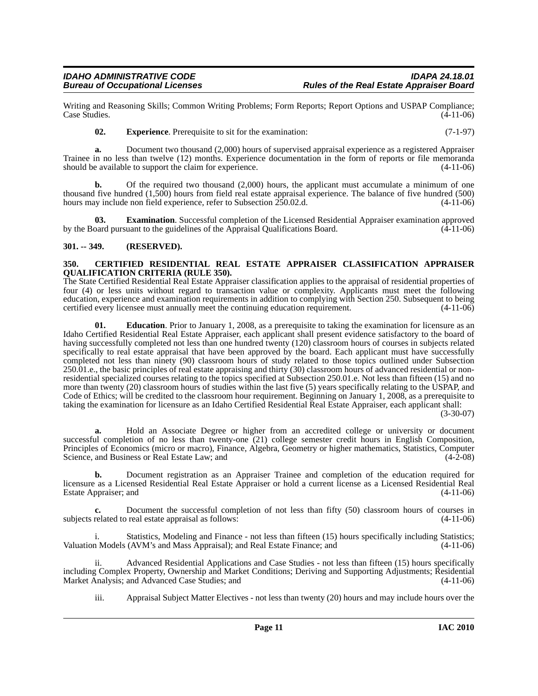Writing and Reasoning Skills; Common Writing Problems; Form Reports; Report Options and USPAP Compliance; Case Studies.

<span id="page-10-5"></span>**02.** Experience. Prerequisite to sit for the examination: (7-1-97)

**a.** Document two thousand (2,000) hours of supervised appraisal experience as a registered Appraiser Trainee in no less than twelve (12) months. Experience documentation in the form of reports or file memoranda should be available to support the claim for experience. (4-11-06)

**b.** Of the required two thousand (2,000) hours, the applicant must accumulate a minimum of one thousand five hundred (1,500) hours from field real estate appraisal experience. The balance of five hundred (500) hours may include non field experience, refer to Subsection  $250.02$ .d.  $(4-11-06)$ 

<span id="page-10-4"></span>**Examination**. Successful completion of the Licensed Residential Appraiser examination approved by the Board pursuant to the guidelines of the Appraisal Qualifications Board. (4-11-06)

#### <span id="page-10-0"></span>**301. -- 349. (RESERVED).**

#### <span id="page-10-2"></span><span id="page-10-1"></span>**350. CERTIFIED RESIDENTIAL REAL ESTATE APPRAISER CLASSIFICATION APPRAISER QUALIFICATION CRITERIA (RULE 350).**

The State Certified Residential Real Estate Appraiser classification applies to the appraisal of residential properties of four (4) or less units without regard to transaction value or complexity. Applicants must meet the following education, experience and examination requirements in addition to complying with Section 250. Subsequent to being certified every licensee must annually meet the continuing education requirement. (4-11-06)

<span id="page-10-3"></span>**01.** Education. Prior to January 1, 2008, as a prerequisite to taking the examination for licensure as an Idaho Certified Residential Real Estate Appraiser, each applicant shall present evidence satisfactory to the board of having successfully completed not less than one hundred twenty (120) classroom hours of courses in subjects related specifically to real estate appraisal that have been approved by the board. Each applicant must have successfully completed not less than ninety (90) classroom hours of study related to those topics outlined under Subsection 250.01.e., the basic principles of real estate appraising and thirty (30) classroom hours of advanced residential or nonresidential specialized courses relating to the topics specified at Subsection 250.01.e. Not less than fifteen (15) and no more than twenty (20) classroom hours of studies within the last five (5) years specifically relating to the USPAP, and Code of Ethics; will be credited to the classroom hour requirement. Beginning on January 1, 2008, as a prerequisite to taking the examination for licensure as an Idaho Certified Residential Real Estate Appraiser, each applicant shall:

(3-30-07)

**a.** Hold an Associate Degree or higher from an accredited college or university or document successful completion of no less than twenty-one (21) college semester credit hours in English Composition, Principles of Economics (micro or macro), Finance, Algebra, Geometry or higher mathematics, Statistics, Computer Science, and Business or Real Estate Law; and (4-2-08)

**b.** Document registration as an Appraiser Trainee and completion of the education required for licensure as a Licensed Residential Real Estate Appraiser or hold a current license as a Licensed Residential Real Estate Appraiser; and (4-11-06)

**c.** Document the successful completion of not less than fifty (50) classroom hours of courses in subjects related to real estate appraisal as follows: (4-11-06)

i. Statistics, Modeling and Finance - not less than fifteen (15) hours specifically including Statistics; Valuation Models (AVM's and Mass Appraisal); and Real Estate Finance; and (4-11-06)

ii. Advanced Residential Applications and Case Studies - not less than fifteen (15) hours specifically including Complex Property, Ownership and Market Conditions; Deriving and Supporting Adjustments; Residential Market Analysis; and Advanced Case Studies; and

iii. Appraisal Subject Matter Electives - not less than twenty (20) hours and may include hours over the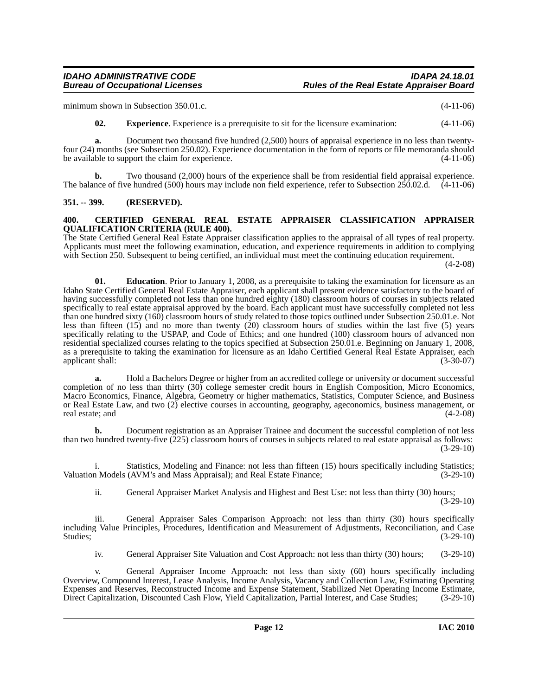## *IDAHO ADMINISTRATIVE CODE IDAPA 24.18.01*

minimum shown in Subsection 350.01.c. (4-11-06)

<span id="page-11-4"></span>**02. Experience**. Experience is a prerequisite to sit for the licensure examination: (4-11-06)

**a.** Document two thousand five hundred (2,500) hours of appraisal experience in no less than twentyfour (24) months (see Subsection 250.02). Experience documentation in the form of reports or file memoranda should be available to support the claim for experience.

**b.** Two thousand (2,000) hours of the experience shall be from residential field appraisal experience. The balance of five hundred (500) hours may include non field experience, refer to Subsection 250.02.d. (4-11-06)

#### <span id="page-11-0"></span>**351. -- 399. (RESERVED).**

#### <span id="page-11-2"></span><span id="page-11-1"></span>**400. CERTIFIED GENERAL REAL ESTATE APPRAISER CLASSIFICATION APPRAISER QUALIFICATION CRITERIA (RULE 400).**

The State Certified General Real Estate Appraiser classification applies to the appraisal of all types of real property. Applicants must meet the following examination, education, and experience requirements in addition to complying with Section 250. Subsequent to being certified, an individual must meet the continuing education requirement.

(4-2-08)

<span id="page-11-3"></span>**01.** Education. Prior to January 1, 2008, as a prerequisite to taking the examination for licensure as an Idaho State Certified General Real Estate Appraiser, each applicant shall present evidence satisfactory to the board of having successfully completed not less than one hundred eighty (180) classroom hours of courses in subjects related specifically to real estate appraisal approved by the board. Each applicant must have successfully completed not less than one hundred sixty (160) classroom hours of study related to those topics outlined under Subsection 250.01.e. Not less than fifteen  $(15)$  and no more than twenty  $(20)$  classroom hours of studies within the last five (5) years specifically relating to the USPAP, and Code of Ethics; and one hundred (100) classroom hours of advanced non residential specialized courses relating to the topics specified at Subsection 250.01.e. Beginning on January 1, 2008, as a prerequisite to taking the examination for licensure as an Idaho Certified General Real Estate Appraiser, each applicant shall: (3-30-07)

**a.** Hold a Bachelors Degree or higher from an accredited college or university or document successful completion of no less than thirty (30) college semester credit hours in English Composition, Micro Economics, Macro Economics, Finance, Algebra, Geometry or higher mathematics, Statistics, Computer Science, and Business or Real Estate Law, and two (2) elective courses in accounting, geography, ageconomics, business management, or real estate; and (4-2-08)

**b.** Document registration as an Appraiser Trainee and document the successful completion of not less than two hundred twenty-five (225) classroom hours of courses in subjects related to real estate appraisal as follows: (3-29-10)

i. Statistics, Modeling and Finance: not less than fifteen (15) hours specifically including Statistics; Valuation Models (AVM's and Mass Appraisal); and Real Estate Finance; (3-29-10)

ii. General Appraiser Market Analysis and Highest and Best Use: not less than thirty (30) hours; (3-29-10)

iii. General Appraiser Sales Comparison Approach: not less than thirty (30) hours specifically including Value Principles, Procedures, Identification and Measurement of Adjustments, Reconciliation, and Case Studies;  $(3-29-10)$ 

iv. General Appraiser Site Valuation and Cost Approach: not less than thirty (30) hours; (3-29-10)

v. General Appraiser Income Approach: not less than sixty (60) hours specifically including Overview, Compound Interest, Lease Analysis, Income Analysis, Vacancy and Collection Law, Estimating Operating Expenses and Reserves, Reconstructed Income and Expense Statement, Stabilized Net Operating Income Estimate, Direct Capitalization, Discounted Cash Flow, Yield Capitalization, Partial Interest, and Case Studies; (3-29-10)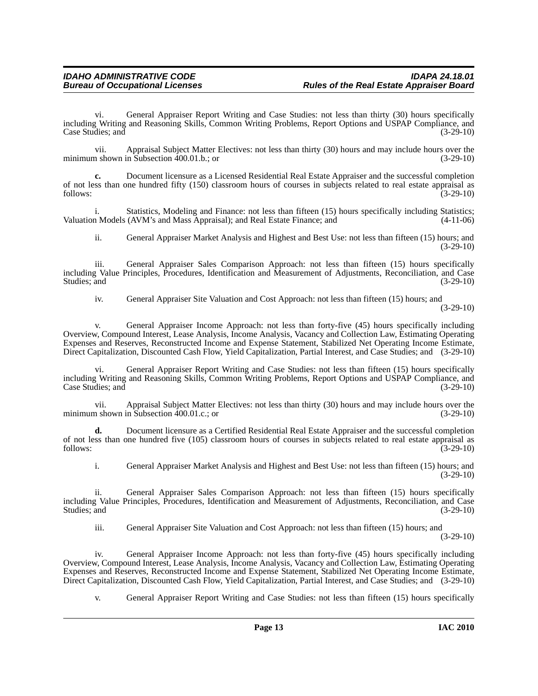vi. General Appraiser Report Writing and Case Studies: not less than thirty (30) hours specifically including Writing and Reasoning Skills, Common Writing Problems, Report Options and USPAP Compliance, and Case Studies; and

vii. Appraisal Subject Matter Electives: not less than thirty (30) hours and may include hours over the minimum shown in Subsection  $400.01$ .b.; or

**c.** Document licensure as a Licensed Residential Real Estate Appraiser and the successful completion of not less than one hundred fifty (150) classroom hours of courses in subjects related to real estate appraisal as follows: (3-29-10)  $f_{0}$  follows:  $(3-29-10)$ 

i. Statistics, Modeling and Finance: not less than fifteen (15) hours specifically including Statistics; Valuation Models (AVM's and Mass Appraisal); and Real Estate Finance; and (4-11-06)

ii. General Appraiser Market Analysis and Highest and Best Use: not less than fifteen (15) hours; and (3-29-10)

iii. General Appraiser Sales Comparison Approach: not less than fifteen (15) hours specifically including Value Principles, Procedures, Identification and Measurement of Adjustments, Reconciliation, and Case Studies; and (3-29-10)

iv. General Appraiser Site Valuation and Cost Approach: not less than fifteen (15) hours; and (3-29-10)

v. General Appraiser Income Approach: not less than forty-five (45) hours specifically including Overview, Compound Interest, Lease Analysis, Income Analysis, Vacancy and Collection Law, Estimating Operating Expenses and Reserves, Reconstructed Income and Expense Statement, Stabilized Net Operating Income Estimate, Direct Capitalization, Discounted Cash Flow, Yield Capitalization, Partial Interest, and Case Studies; and (3-29-10)

General Appraiser Report Writing and Case Studies: not less than fifteen (15) hours specifically including Writing and Reasoning Skills, Common Writing Problems, Report Options and USPAP Compliance, and Case Studies; and (3-29-10)

vii. Appraisal Subject Matter Electives: not less than thirty (30) hours and may include hours over the minimum shown in Subsection 400.01.c.; or (3-29-10)

**d.** Document licensure as a Certified Residential Real Estate Appraiser and the successful completion of not less than one hundred five (105) classroom hours of courses in subjects related to real estate appraisal as follows: (3-29-10)  $f_{0}$  follows:  $(3-29-10)$ 

i. General Appraiser Market Analysis and Highest and Best Use: not less than fifteen (15) hours; and (3-29-10)

ii. General Appraiser Sales Comparison Approach: not less than fifteen (15) hours specifically including Value Principles, Procedures, Identification and Measurement of Adjustments, Reconciliation, and Case Studies; and  $(3-29-10)$ 

iii. General Appraiser Site Valuation and Cost Approach: not less than fifteen (15) hours; and (3-29-10)

General Appraiser Income Approach: not less than forty-five (45) hours specifically including Overview, Compound Interest, Lease Analysis, Income Analysis, Vacancy and Collection Law, Estimating Operating Expenses and Reserves, Reconstructed Income and Expense Statement, Stabilized Net Operating Income Estimate, Direct Capitalization, Discounted Cash Flow, Yield Capitalization, Partial Interest, and Case Studies; and (3-29-10)

v. General Appraiser Report Writing and Case Studies: not less than fifteen (15) hours specifically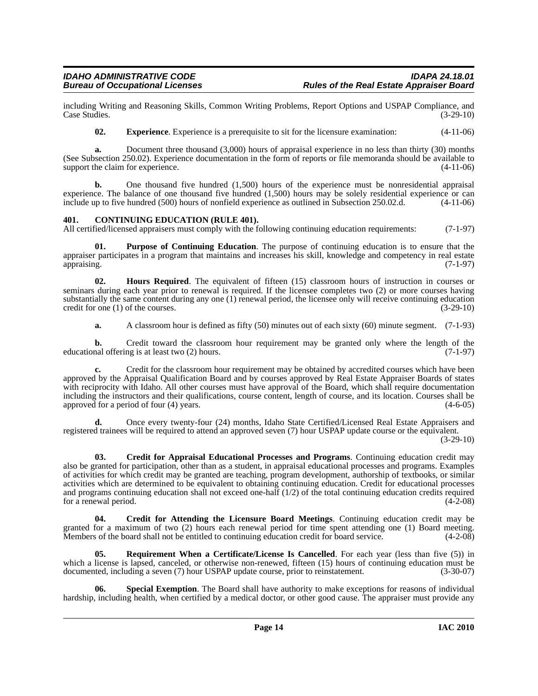including Writing and Reasoning Skills, Common Writing Problems, Report Options and USPAP Compliance, and Case Studies. (3-29-10) Case Studies.

<span id="page-13-4"></span>**02. Experience**. Experience is a prerequisite to sit for the licensure examination: (4-11-06)

**a.** Document three thousand (3,000) hours of appraisal experience in no less than thirty (30) months (See Subsection 250.02). Experience documentation in the form of reports or file memoranda should be available to support the claim for experience. (4-11-06)

**b.** One thousand five hundred (1,500) hours of the experience must be nonresidential appraisal experience. The balance of one thousand five hundred  $(1,500)$  hours may be solely residential experience or can include up to five hundred  $(500)$  hours of nonfield experience as outlined in Subsection 250.02.d.  $(4-11-0$ include up to five hundred (500) hours of nonfield experience as outlined in Subsection 250.02.d.

#### <span id="page-13-1"></span><span id="page-13-0"></span>**401. CONTINUING EDUCATION (RULE 401).**

All certified/licensed appraisers must comply with the following continuing education requirements: (7-1-97)

<span id="page-13-6"></span>**01. Purpose of Continuing Education**. The purpose of continuing education is to ensure that the appraiser participates in a program that maintains and increases his skill, knowledge and competency in real estate appraising. (7-1-97)

**02. Hours Required**. The equivalent of fifteen (15) classroom hours of instruction in courses or seminars during each year prior to renewal is required. If the licensee completes two (2) or more courses having substantially the same content during any one (1) renewal period, the licensee only will receive continuing education credit for one  $(1)$  of the courses. (3-29-10)

<span id="page-13-5"></span>**a.** A classroom hour is defined as fifty (50) minutes out of each sixty (60) minute segment. (7-1-93)

**b.** Credit toward the classroom hour requirement may be granted only where the length of the nal offering is at least two (2) hours. educational offering is at least two  $(2)$  hours.

**c.** Credit for the classroom hour requirement may be obtained by accredited courses which have been approved by the Appraisal Qualification Board and by courses approved by Real Estate Appraiser Boards of states with reciprocity with Idaho. All other courses must have approval of the Board, which shall require documentation including the instructors and their qualifications, course content, length of course, and its location. Courses shall be approved for a period of four  $(4)$  years.

**d.** Once every twenty-four (24) months, Idaho State Certified/Licensed Real Estate Appraisers and registered trainees will be required to attend an approved seven (7) hour USPAP update course or the equivalent.

(3-29-10)

<span id="page-13-2"></span>**03. Credit for Appraisal Educational Processes and Programs**. Continuing education credit may also be granted for participation, other than as a student, in appraisal educational processes and programs. Examples of activities for which credit may be granted are teaching, program development, authorship of textbooks, or similar activities which are determined to be equivalent to obtaining continuing education. Credit for educational processes and programs continuing education shall not exceed one-half  $(1/2)$  of the total continuing education credits required for a renewal period.  $(4-2-08)$ for a renewal period.

<span id="page-13-3"></span>**04. Credit for Attending the Licensure Board Meetings**. Continuing education credit may be granted for a maximum of two (2) hours each renewal period for time spent attending one (1) Board meeting.<br>Members of the board shall not be entitled to continuing education credit for board service. (4-2-08) Members of the board shall not be entitled to continuing education credit for board service.

<span id="page-13-7"></span>**Requirement When a Certificate/License Is Cancelled**. For each year (less than five (5)) in which a license is lapsed, canceled, or otherwise non-renewed, fifteen (15) hours of continuing education must be documented, including a seven (7) hour USPAP update course, prior to reinstatement. (3-30-07)

<span id="page-13-8"></span>**Special Exemption**. The Board shall have authority to make exceptions for reasons of individual hardship, including health, when certified by a medical doctor, or other good cause. The appraiser must provide any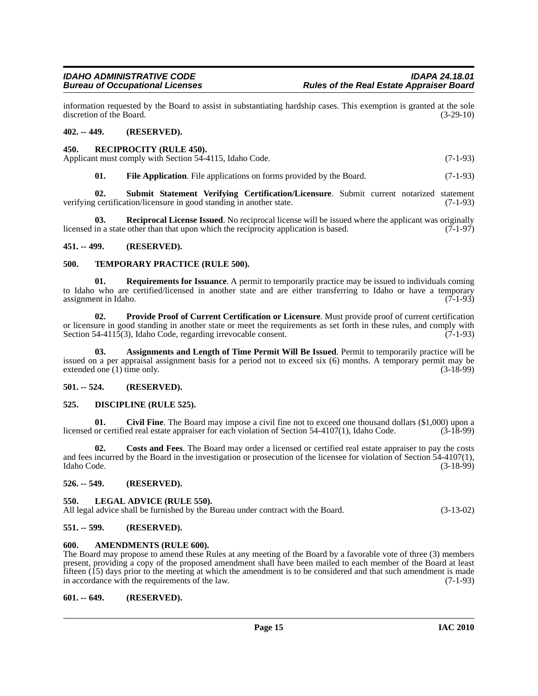information requested by the Board to assist in substantiating hardship cases. This exemption is granted at the sole discretion of the Board.

#### <span id="page-14-0"></span>**402. -- 449. (RESERVED).**

#### <span id="page-14-20"></span><span id="page-14-1"></span>**450. RECIPROCITY (RULE 450).**

Applicant must comply with Section 54-4115, Idaho Code. (7-1-93)

<span id="page-14-22"></span><span id="page-14-19"></span><span id="page-14-16"></span>**01.** File Application. File applications on forms provided by the Board. (7-1-93)

**02. Submit Statement Verifying Certification/Licensure**. Submit current notarized statement verifying certification/licensure in good standing in another state. (7-1-93)

**03. Reciprocal License Issued**. No reciprocal license will be issued where the applicant was originally licensed in a state other than that upon which the reciprocity application is based. (7-1-97)

#### <span id="page-14-2"></span>**451. -- 499. (RESERVED).**

#### <span id="page-14-23"></span><span id="page-14-3"></span>**500. TEMPORARY PRACTICE (RULE 500).**

<span id="page-14-21"></span>**01. Requirements for Issuance**. A permit to temporarily practice may be issued to individuals coming to Idaho who are certified/licensed in another state and are either transferring to Idaho or have a temporary<br>assignment in Idaho. (7-1-93) assignment in Idaho.

<span id="page-14-18"></span>**02. Provide Proof of Current Certification or Licensure**. Must provide proof of current certification or licensure in good standing in another state or meet the requirements as set forth in these rules, and comply with Section 54-4115(3), Idaho Code, regarding irrevocable consent. (7-1-93)

<span id="page-14-12"></span>**03. Assignments and Length of Time Permit Will Be Issued**. Permit to temporarily practice will be issued on a per appraisal assignment basis for a period not to exceed six (6) months. A temporary permit may be extended one  $(1)$  time only.

#### <span id="page-14-4"></span>**501. -- 524. (RESERVED).**

#### <span id="page-14-15"></span><span id="page-14-5"></span>**525. DISCIPLINE (RULE 525).**

<span id="page-14-13"></span>**01.** Civil Fine. The Board may impose a civil fine not to exceed one thousand dollars (\$1,000) upon a or certified real estate appraiser for each violation of Section 54-4107(1), Idaho Code. (3-18-99) licensed or certified real estate appraiser for each violation of Section 54-4107(1), Idaho Code.

<span id="page-14-14"></span>**02. Costs and Fees**. The Board may order a licensed or certified real estate appraiser to pay the costs and fees incurred by the Board in the investigation or prosecution of the licensee for violation of Section 54-4107(1), Idaho Code. (3-18-99)

#### <span id="page-14-6"></span>**526. -- 549. (RESERVED).**

#### <span id="page-14-17"></span><span id="page-14-7"></span>**550. LEGAL ADVICE (RULE 550).**

All legal advice shall be furnished by the Bureau under contract with the Board. (3-13-02)

#### <span id="page-14-8"></span>**551. -- 599. (RESERVED).**

#### <span id="page-14-11"></span><span id="page-14-9"></span>**600. AMENDMENTS (RULE 600).**

The Board may propose to amend these Rules at any meeting of the Board by a favorable vote of three (3) members present, providing a copy of the proposed amendment shall have been mailed to each member of the Board at least fifteen (15) days prior to the meeting at which the amendment is to be considered and that such amendment is made<br>in accordance with the requirements of the law. in accordance with the requirements of the law.

#### <span id="page-14-10"></span>**601. -- 649. (RESERVED).**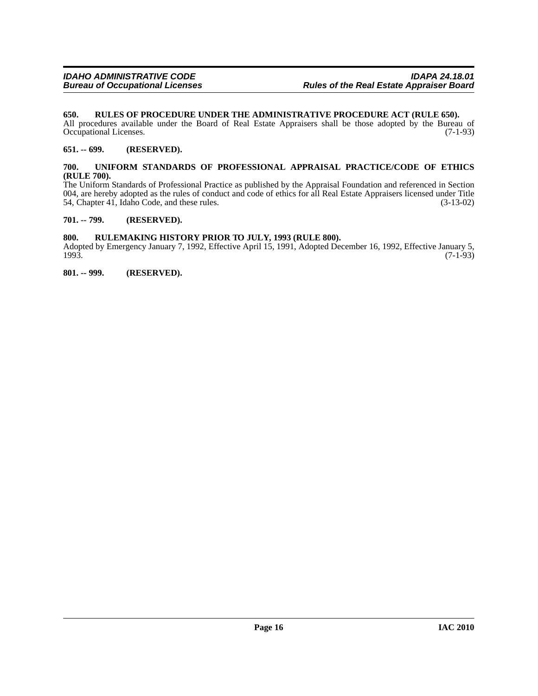#### <span id="page-15-6"></span><span id="page-15-0"></span>**650. RULES OF PROCEDURE UNDER THE ADMINISTRATIVE PROCEDURE ACT (RULE 650).**

All procedures available under the Board of Real Estate Appraisers shall be those adopted by the Bureau of Occupational Licenses. (7-1-93) Occupational Licenses.

#### <span id="page-15-1"></span>**651. -- 699. (RESERVED).**

#### <span id="page-15-7"></span><span id="page-15-2"></span>**700. UNIFORM STANDARDS OF PROFESSIONAL APPRAISAL PRACTICE/CODE OF ETHICS (RULE 700).**

The Uniform Standards of Professional Practice as published by the Appraisal Foundation and referenced in Section 004, are hereby adopted as the rules of conduct and code of ethics for all Real Estate Appraisers licensed under Title 54, Chapter 41, Idaho Code, and these rules. (3-13-02) 54, Chapter 41, Idaho Code, and these rules.

#### <span id="page-15-3"></span>**701. -- 799. (RESERVED).**

#### <span id="page-15-4"></span>**800. RULEMAKING HISTORY PRIOR TO JULY, 1993 (RULE 800).**

Adopted by Emergency January 7, 1992, Effective April 15, 1991, Adopted December 16, 1992, Effective January 5, 1993. 1993. (7-1-93)

<span id="page-15-5"></span>**801. -- 999. (RESERVED).**